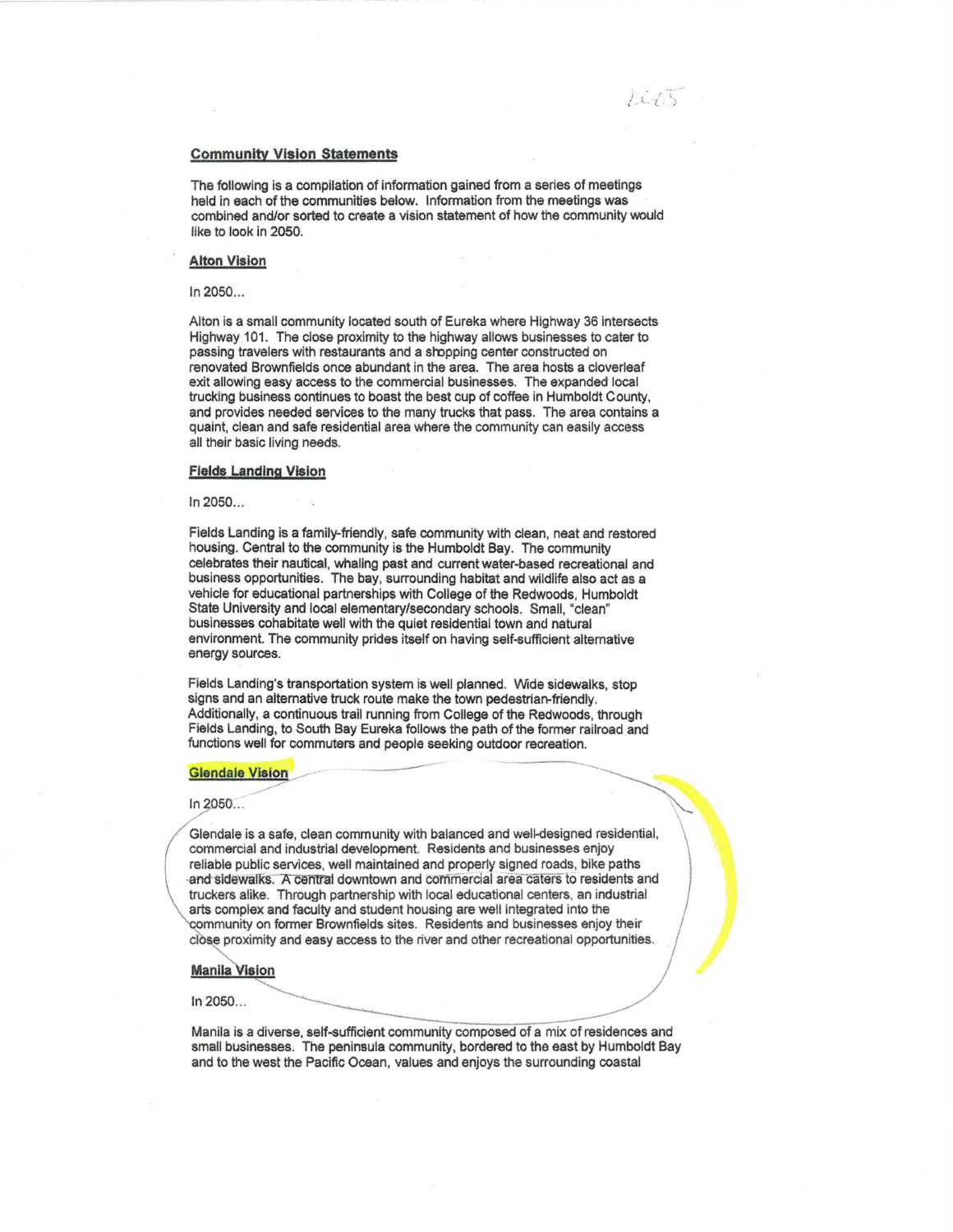# **Community Vision Statements**

The following is a compilation of information gained from a series of meetings held in each of the communities below. Information from the meetings was combined and/or sorted to create a vision statement of how the community would like to look in 2050.

 $14.15$ 

## **Alton Vision**

In 2050 ...

Alton is a small community located south of Eureka where Highway 36 intersects Highway 101. The close proximity to the highway allows businesses to cater to passing travelers with restaurants and a sropping center constructed on renovated Brownfields once abundant in the area. The area hosts a cloverleaf exit allowing easy access to the commercial businesses. The expanded local trucking business continues to boast the best cup of coffee in Humboldt County, and provides needed services to the many trucks that pass. The area contains a quaint, clean and safe residential area where the community can easily access all their basic living needs.

#### **Fields Landing Vision**

In 2050 ...

Fields Landing is a family-friendly, safe community with clean, neat and restored housing. Central to the community is the Humboldt Bay. The community celebrates their nautical, whaling past and current water-based recreational and business opportunities. The bay, surrounding habitat and wildlife also act as a vehicle for educational partnerships with College of the Redwoods, Humboldt State University and local elementary/secondary schools. Small, "clean" businesses cohabitate well with the quiet residential town and natural environment. The community prides itself on having self-sufficient alternative energy sources.

Fields Landing's transportation system is well planned. Wide sidewalks, stop signs and an alternative truck route make the town pedestrian-friendly. Additionally, a continuous trail running from College of the Redwoods, through· Fields Landing, to South Bay Eureka follows the path of the former railroad and functions well for commuters and people seeking outdoor recreation. Additionally, a continuous trail running from College of the Redwoods, through<br>Fields Landing, to South Bay Eureka follows the path of the former railroad and<br>functions well for commuters and people seeking outdoor recreat

 $\ln 2050...$ 

Glendale is a safe, clean community with balanced and well-designed residential, commercial and industrial development. Residents and businesses enjoy reliable public services, well maintained and properly signed roads, bike paths and sidewalks. A central downtown and commercial area caters to residents and truckers alike. Through partnership with local educational centers, an industrial arts complex and faculty and student housing are well integrated into the community on former Brownfields sites. Residents and businesses enjoy close proximity and easy access to the river and other recreational opport **Ma** community on former Brownfields sites. Residents and businesses enjoy their close proximity and easy access to the river and other recreational opportunities.

# **Manila Vision**

ln2050 ...

Manila is a diverse, self-sufficient community composed of a mix of residences and small businesses. The peninsula community, bordered to the east by Humboldt Bay and to the west the Pacific Ocean, values and enjoys the surrounding coastal